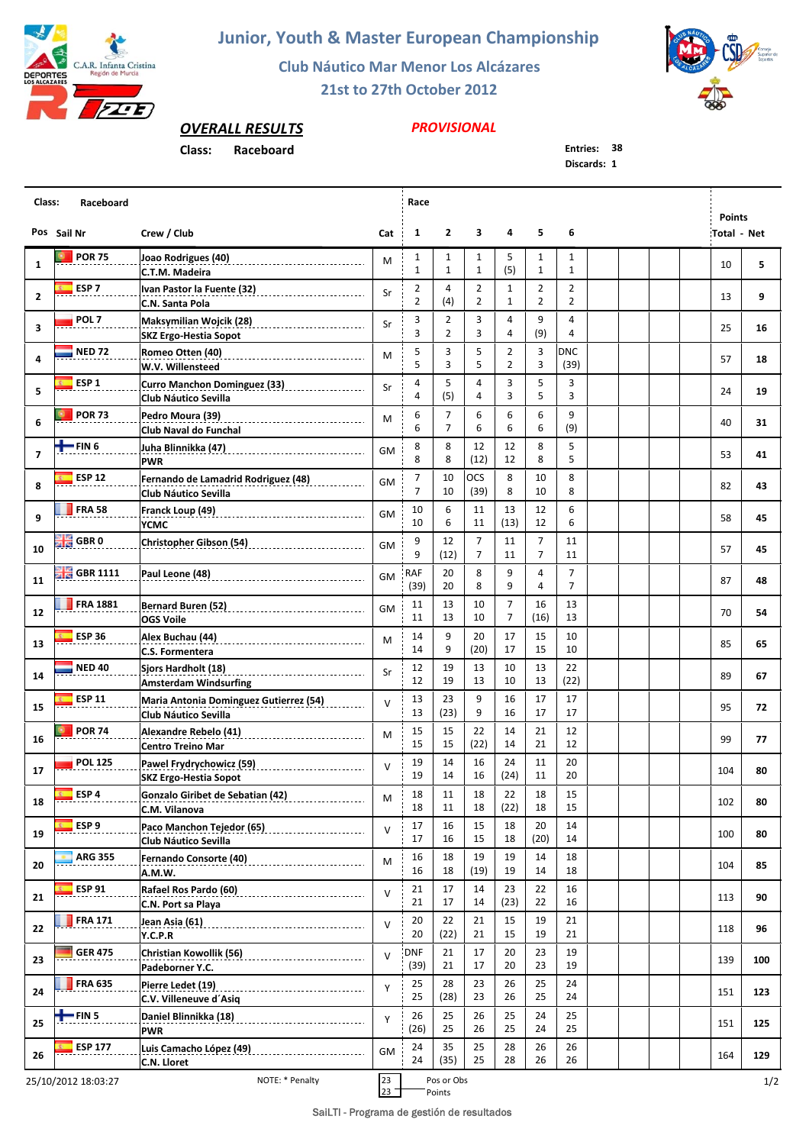

## **Junior, Youth & Master European Championship**

**Club Náutico Mar Menor Los Alcázares**

**21st to 27th October 2012**



## *OVERALL RESULTS*

## **Class: Raceboard Entries: 38**

## *PROVISIONAL*

**Discards: 1**

| Class:<br>Raceboard |                            |                                                                                    |           |                                  | Race                         |                                  |                                  |                     |                                  |  |  |  |  |                                     |     |
|---------------------|----------------------------|------------------------------------------------------------------------------------|-----------|----------------------------------|------------------------------|----------------------------------|----------------------------------|---------------------|----------------------------------|--|--|--|--|-------------------------------------|-----|
|                     | Pos Sail Nr                | Crew / Club                                                                        | Cat       | $\mathbf{1}$                     | $\overline{2}$               | 3                                | 4                                | 5                   | 6                                |  |  |  |  | <b>Points</b><br><b>Total - Net</b> |     |
| 1                   | <b>POR 75</b>              | Joao Rodrigues (40)<br>C.T.M. Madeira                                              | M         | 1<br>$\mathbf{1}$                | $\mathbf{1}$<br>$\mathbf{1}$ | $\mathbf{1}$<br>$\mathbf{1}$     | 5<br>(5)                         | 1<br>$\mathbf{1}$   | 1<br>$\mathbf{1}$                |  |  |  |  | 10                                  | 5   |
| $\overline{2}$      | ESP <sub>7</sub>           | Ivan Pastor la Fuente (32) _________________________                               | Sr        | $\overline{2}$                   | 4                            | $\overline{2}$                   | $\mathbf{1}$                     | $\overline{2}$      | $\overline{2}$                   |  |  |  |  | 13                                  | 9   |
|                     | POL <sub>7</sub>           | C.N. Santa Pola<br>Maksymilian Wojcik (28) __________________________              |           | $\overline{2}$<br>3              | (4)<br>2                     | 2<br>3                           | $\mathbf{1}$<br>4                | $\overline{2}$<br>9 | 2<br>4                           |  |  |  |  |                                     |     |
| 3                   |                            | <b>SKZ Ergo-Hestia Sopot</b>                                                       | Sr        | 3                                | $\overline{2}$               | 3                                | 4                                | (9)                 | 4                                |  |  |  |  | 25                                  | 16  |
| 4                   | <b>NED 72</b>              | Romeo Otten (40)<br>__________________________________<br>W.V. Willensteed         | M         | 5<br>5                           | 3<br>3                       | 5<br>5                           | $\mathbf{2}$<br>$\overline{2}$   | 3<br>3              | <b>DNC</b><br>(39)               |  |  |  |  | 57                                  | 18  |
| 5                   | ESP <sub>1</sub>           | <b>Curro Manchon Dominguez (33)</b><br>___________________<br>Club Náutico Sevilla | Sr        | 4<br>4                           | 5<br>(5)                     | 4<br>$\overline{4}$              | 3<br>3                           | 5<br>5              | 3<br>3                           |  |  |  |  | 24                                  | 19  |
| 6                   | <b>POR 73</b>              | Pedro Moura (39)<br>________________________________                               | М         | 6                                | 7                            | 6                                | 6                                | 6                   | 9                                |  |  |  |  | 40                                  | 31  |
|                     | =FIN 6                     | Club Naval do Funchal                                                              |           | 6<br>8                           | $\overline{7}$<br>8          | 6<br>12                          | 6<br>12                          | 6<br>8              | (9)<br>5                         |  |  |  |  |                                     |     |
| $\overline{ }$      |                            | Juha Blinnikka (47)<br><b>PWR</b>                                                  | GM        | 8                                | 8                            | (12)                             | 12                               | 8                   | 5                                |  |  |  |  | 53                                  | 41  |
| 8                   | <b>ESP 12</b>              | Fernando de Lamadrid Rodriguez (48)<br><b>Club Náutico Sevilla</b>                 | GM        | $\overline{7}$<br>$\overline{7}$ | 10<br>10                     | OCS<br>(39)                      | 8<br>8                           | 10<br>10            | 8<br>8                           |  |  |  |  | 82                                  | 43  |
| 9                   | <b>FRA 58</b>              | Franck Loup (49)<br>YCMC                                                           | <b>GM</b> | 10<br>10                         | 6<br>6                       | 11<br>11                         | 13<br>(13)                       | 12<br>12            | 6<br>6                           |  |  |  |  | 58                                  | 45  |
| 10                  | <b>SHE</b> GBR 0           | Christopher Gibson (54)                                                            | GM        | 9<br>9                           | 12<br>(12)                   | $\overline{7}$<br>$\overline{7}$ | 11<br>11                         | $\overline{7}$<br>7 | 11<br>11                         |  |  |  |  | 57                                  | 45  |
| 11                  | $\frac{100}{100}$ GBR 1111 | Paul Leone (48)                                                                    | <b>GM</b> | RAF<br>(39)                      | 20<br>20                     | 8<br>8                           | 9<br>9                           | 4<br>4              | $\overline{7}$<br>$\overline{7}$ |  |  |  |  | 87                                  | 48  |
| 12                  | <b>FRA 1881</b>            | <b>OGS Voile</b>                                                                   | <b>GM</b> | 11<br>11                         | 13<br>13                     | 10<br>10                         | $\overline{7}$<br>$\overline{7}$ | 16<br>(16)          | 13<br>13                         |  |  |  |  | 70                                  | 54  |
| 13                  | <b>ESP 36</b>              | Alex Buchau (44)<br>C.S. Formentera                                                | M         | 14<br>14                         | 9<br>9                       | 20<br>(20)                       | 17<br>17                         | 15<br>15            | 10<br>10                         |  |  |  |  | 85                                  | 65  |
| 14                  | <b>NED 40</b>              | Sjors Hardholt (18)                                                                | Sr        | 12<br>12                         | 19<br>19                     | 13                               | 10                               | 13                  | 22                               |  |  |  |  | 89                                  | 67  |
|                     | <b>ESP 11</b>              | <b>Amsterdam Windsurfing</b><br>Maria Antonia Dominguez Gutierrez (54)             | $\vee$    | 13                               | 23                           | 13<br>9                          | 10<br>16                         | 13<br>17            | (22)<br>17                       |  |  |  |  |                                     |     |
| 15                  | <b>POR 74</b>              | <b>Club Náutico Sevilla</b>                                                        |           | 13<br>15                         | (23)<br>15                   | 9<br>22                          | 16<br>14                         | 17<br>21            | 17<br>12                         |  |  |  |  | 95                                  | 72  |
| 16                  |                            | Centro Treino Mar                                                                  | M         | 15                               | 15                           | (22)                             | 14                               | 21                  | 12                               |  |  |  |  | 99                                  | 77  |
| 17                  | <b>POL 125</b>             | Pawel Frydrychowicz (59)<br>SKZ Ergo-Hestia Sopot                                  | $\vee$    | 19<br>19                         | 14<br>14                     | 16<br>16                         | 24<br>(24)                       | 11<br>11            | 20<br>20                         |  |  |  |  | 104                                 | 80  |
| 18                  | $E = ESP 4$                | Gonzalo Giribet de Sebatian (42) [10]<br>C.M. Vilanova                             | M         | 18<br>18                         | 11<br>11                     | 18<br>18                         | 22<br>(22)                       | 18<br>18            | 15<br>15                         |  |  |  |  | 102                                 | 80  |
| 19                  | ESP <sub>9</sub>           | Paco Manchon Tejedor (65)<br>Club Náutico Sevilla                                  | $\vee$    | 17<br>17                         | 16<br>16                     | 15<br>15                         | 18<br>18                         | 20<br>(20)          | 14<br>14                         |  |  |  |  | 100                                 | 80  |
| 20                  | <b>ARG 355</b>             | Fernando Consorte (40)                                                             | М         | 16<br>16                         | 18<br>18                     | 19<br>(19)                       | 19<br>19                         | 14<br>14            | 18<br>18                         |  |  |  |  | 104                                 | 85  |
| 21                  | <b>ESP 91</b>              | A.M.W.<br>Rafael Ros Pardo (60)                                                    | $\vee$    | 21                               | 17                           | 14                               | 23                               | 22                  | 16                               |  |  |  |  | 113                                 | 90  |
| 22                  | <b>FRA 171</b>             | C.N. Port sa Playa<br>Jean Asia (61)                                               | $\vee$    | 21<br>20                         | 17<br>22                     | 14<br>21                         | (23)<br>15                       | 22<br>19            | 16<br>21                         |  |  |  |  | 118                                 | 96  |
|                     | <b>GER 475</b>             | Y.C.P.R<br>Christian Kowollik (56)                                                 |           | 20<br><b>DNF</b>                 | (22)<br>21                   | 21<br>17                         | 15<br>20                         | 19<br>23            | 21<br>19                         |  |  |  |  |                                     |     |
| 23                  |                            | Padeborner Y.C.                                                                    | $\vee$    | (39)                             | 21                           | 17                               | 20                               | 23                  | 19                               |  |  |  |  | 139                                 | 100 |
| 24                  | <b>FRA 635</b>             | Pierre Ledet (19)<br>C.V. Villeneuve d'Asiq                                        | Y         | 25<br>25                         | 28<br>(28)                   | 23<br>23                         | 26<br>26                         | 25<br>25            | 24<br>24                         |  |  |  |  | 151                                 | 123 |
| 25                  | $+$ FIN 5                  | Daniel Blinnikka (18)<br><b>PWR</b>                                                | Y         | 26<br>(26)                       | 25<br>25                     | 26<br>26                         | 25<br>25                         | 24<br>24            | 25<br>25                         |  |  |  |  | 151                                 | 125 |
| 26                  | <b>ESP 177</b>             | Luis Camacho López (49)<br>C.N. Lloret                                             | GM        | 24<br>24                         | 35<br>(35)                   | 25<br>25                         | 28<br>28                         | 26<br>26            | 26<br>26                         |  |  |  |  | 164                                 | 129 |
|                     | 25/10/2012 18:03:27        | NOTE: * Penalty                                                                    | 23        |                                  | Pos or Obs                   |                                  |                                  |                     |                                  |  |  |  |  |                                     | 1/2 |

 $\frac{1}{23}$